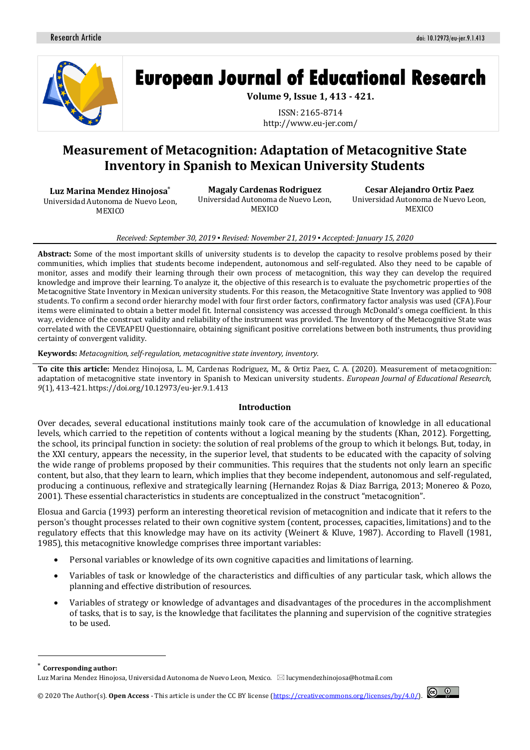

**European Journal of Educational Research** 

**Volume 9, Issue 1, 413 - 421.**

ISSN: 2165-8714 http://www.eu-jer.com/

# **Measurement of Metacognition: Adaptation of Metacognitive State Inventory in Spanish to Mexican University Students**

**Luz Marina Mendez Hinojosa**\*

Universidad Autonoma de Nuevo Leon, **MEXICO** 

**Magaly Cardenas Rodriguez** Universidad Autonoma de Nuevo Leon, **MEXICO** 

**Cesar Alejandro Ortiz Paez** Universidad Autonoma de Nuevo Leon, **MEXICO** 

#### *Received: September 30, 2019 ▪ Revised: November 21, 2019 ▪ Accepted: January 15, 2020*

**Abstract:** Some of the most important skills of university students is to develop the capacity to resolve problems posed by their communities, which implies that students become independent, autonomous and self-regulated. Also they need to be capable of monitor, asses and modify their learning through their own process of metacognition, this way they can develop the required knowledge and improve their learning. To analyze it, the objective of this research is to evaluate the psychometric properties of the Metacognitive State Inventory in Mexican university students. For this reason, the Metacognitive State Inventory was applied to 908 students. To confirm a second order hierarchy model with four first order factors, confirmatory factor analysis was used (CFA).Four items were eliminated to obtain a better model fit. Internal consistency was accessed through McDonald's omega coefficient. In this way, evidence of the construct validity and reliability of the instrument was provided. The Inventory of the Metacognitive State was correlated with the CEVEAPEU Questionnaire, obtaining significant positive correlations between both instruments, thus providing certainty of convergent validity.

**Keywords:** *Metacognition, self-regulation, metacognitive state inventory, inventory.*

**To cite this article:** Mendez Hinojosa, L. M, Cardenas Rodriguez, M., & Ortiz Paez, C. A. (2020). Measurement of metacognition: adaptation of metacognitive state inventory in Spanish to Mexican university students. *European Journal of Educational Research, 9*(1), 413-421. https://doi.org/10.12973/eu-jer.9.1.413

## **Introduction**

Over decades, several educational institutions mainly took care of the accumulation of knowledge in all educational levels, which carried to the repetition of contents without a logical meaning by the students (Khan, 2012). Forgetting, the school, its principal function in society: the solution of real problems of the group to which it belongs. But, today, in the XXI century, appears the necessity, in the superior level, that students to be educated with the capacity of solving the wide range of problems proposed by their communities. This requires that the students not only learn an specific content, but also, that they learn to learn, which implies that they become independent, autonomous and self-regulated, producing a continuous, reflexive and strategically learning (Hernandez Rojas & Diaz Barriga, 2013; Monereo & Pozo, 2001). These essential characteristics in students are conceptualized in the construct "metacognition".

Elosua and Garcia (1993) perform an interesting theoretical revision of metacognition and indicate that it refers to the person's thought processes related to their own cognitive system (content, processes, capacities, limitations) and to the regulatory effects that this knowledge may have on its activity (Weinert & Kluve, 1987). According to Flavell (1981, 1985), this metacognitive knowledge comprises three important variables:

- Personal variables or knowledge of its own cognitive capacities and limitations of learning.
- Variables of task or knowledge of the characteristics and difficulties of any particular task, which allows the planning and effective distribution of resources.
- Variables of strategy or knowledge of advantages and disadvantages of the procedures in the accomplishment of tasks, that is to say, is the knowledge that facilitates the planning and supervision of the cognitive strategies to be used.

 $\overline{\phantom{a}}$ 

© 2020 The Author(s). **Open Access** - This article is under the CC BY license [\(https://creativecommons.org/licenses/by/4.0/\)](https://creativecommons.org/licenses/by/4.0/).



Corresponding author:

Luz Marina Mendez Hinojosa, Universidad Autonoma de Nuevo Leon, Mexico.  $\boxtimes$  lucymendezhinojosa@hotmail.com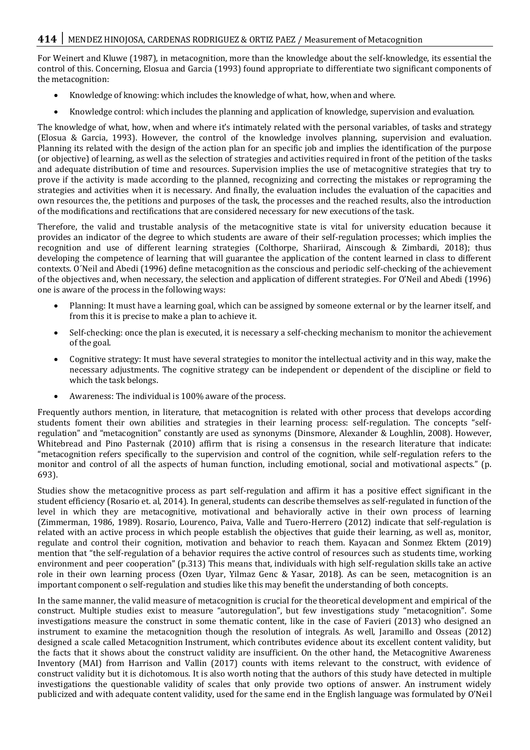For Weinert and Kluwe (1987), in metacognition, more than the knowledge about the self-knowledge, its essential the control of this. Concerning, Elosua and Garcia (1993) found appropriate to differentiate two significant components of the metacognition:

- Knowledge of knowing: which includes the knowledge of what, how, when and where.
- Knowledge control: which includes the planning and application of knowledge, supervision and evaluation.

The knowledge of what, how, when and where it's intimately related with the personal variables, of tasks and strategy (Elosua & Garcia, 1993). However, the control of the knowledge involves planning, supervision and evaluation. Planning its related with the design of the action plan for an specific job and implies the identification of the purpose (or objective) of learning, as well as the selection of strategies and activities required in front of the petition of the tasks and adequate distribution of time and resources. Supervision implies the use of metacognitive strategies that try to prove if the activity is made according to the planned, recognizing and correcting the mistakes or reprograming the strategies and activities when it is necessary. And finally, the evaluation includes the evaluation of the capacities and own resources the, the petitions and purposes of the task, the processes and the reached results, also the introduction of the modifications and rectifications that are considered necessary for new executions of the task.

Therefore, the valid and trustable analysis of the metacognitive state is vital for university education because it provides an indicator of the degree to which students are aware of their self-regulation processes; which implies the recognition and use of different learning strategies (Colthorpe, Shariirad, Ainscough & Zimbardi, 2018); thus developing the competence of learning that will guarantee the application of the content learned in class to different contexts. O´Neil and Abedi (1996) define metacognition as the conscious and periodic self-checking of the achievement of the objectives and, when necessary, the selection and application of different strategies. For O'Neil and Abedi (1996) one is aware of the process in the following ways:

- Planning: It must have a learning goal, which can be assigned by someone external or by the learner itself, and from this it is precise to make a plan to achieve it.
- Self-checking: once the plan is executed, it is necessary a self-checking mechanism to monitor the achievement of the goal.
- Cognitive strategy: It must have several strategies to monitor the intellectual activity and in this way, make the necessary adjustments. The cognitive strategy can be independent or dependent of the discipline or field to which the task belongs.
- Awareness: The individual is 100% aware of the process.

Frequently authors mention, in literature, that metacognition is related with other process that develops according students foment their own abilities and strategies in their learning process: self-regulation. The concepts "selfregulation" and "metacognition" constantly are used as synonyms (Dinsmore, Alexander & Loughlin, 2008). However, Whitebread and Pino Pasternak (2010) affirm that is rising a consensus in the research literature that indicate: "metacognition refers specifically to the supervision and control of the cognition, while self-regulation refers to the monitor and control of all the aspects of human function, including emotional, social and motivational aspects." (p. 693).

Studies show the metacognitive process as part self-regulation and affirm it has a positive effect significant in the student efficiency (Rosario et. al, 2014). In general, students can describe themselves as self-regulated in function of the level in which they are metacognitive, motivational and behaviorally active in their own process of learning (Zimmerman, 1986, 1989). Rosario, Lourenco, Paiva, Valle and Tuero-Herrero (2012) indicate that self-regulation is related with an active process in which people establish the objectives that guide their learning, as well as, monitor, regulate and control their cognition, motivation and behavior to reach them. Kayacan and Sonmez Ektem (2019) mention that "the self-regulation of a behavior requires the active control of resources such as students time, working environment and peer cooperation" (p.313) This means that, individuals with high self-regulation skills take an active role in their own learning process (Ozen Uyar, Yilmaz Genc & Yasar, 2018). As can be seen, metacognition is an important component o self-regulation and studies like this may benefit the understanding of both concepts.

In the same manner, the valid measure of metacognition is crucial for the theoretical development and empirical of the construct. Multiple studies exist to measure "autoregulation", but few investigations study "metacognition". Some investigations measure the construct in some thematic content, like in the case of Favieri (2013) who designed an instrument to examine the metacognition though the resolution of integrals. As well, Jaramillo and Osseas (2012) designed a scale called Metacognition Instrument, which contributes evidence about its excellent content validity, but the facts that it shows about the construct validity are insufficient. On the other hand, the Metacognitive Awareness Inventory (MAI) from Harrison and Vallin (2017) counts with items relevant to the construct, with evidence of construct validity but it is dichotomous. It is also worth noting that the authors of this study have detected in multiple investigations the questionable validity of scales that only provide two options of answer. An instrument widely publicized and with adequate content validity, used for the same end in the English language was formulated by O'Neil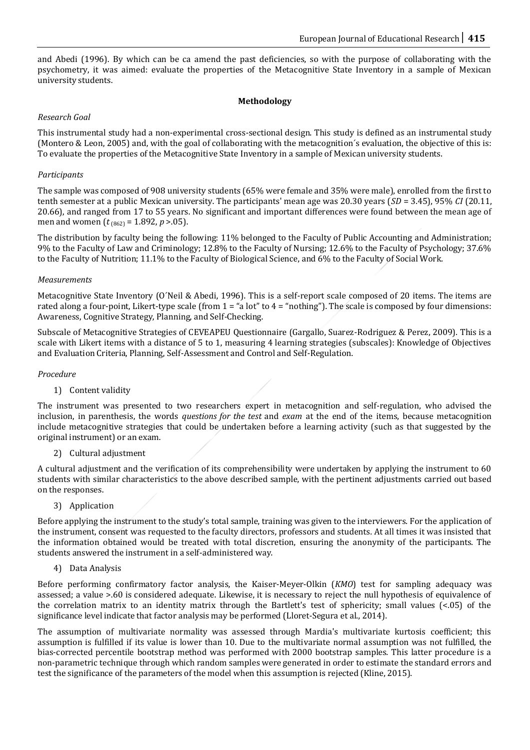and Abedi (1996). By which can be ca amend the past deficiencies, so with the purpose of collaborating with the psychometry, it was aimed: evaluate the properties of the Metacognitive State Inventory in a sample of Mexican university students.

# **Methodology**

# *Research Goal*

This instrumental study had a non-experimental cross-sectional design. This study is defined as an instrumental study (Montero & Leon, 2005) and, with the goal of collaborating with the metacognition´s evaluation, the objective of this is: To evaluate the properties of the Metacognitive State Inventory in a sample of Mexican university students.

# *Participants*

The sample was composed of 908 university students (65% were female and 35% were male), enrolled from the first to tenth semester at a public Mexican university. The participants' mean age was 20.30 years (*SD* = 3.45), 95% *CI* (20.11, 20.66), and ranged from 17 to 55 years. No significant and important differences were found between the mean age of men and women ( $t_{(862)} = 1.892$ ,  $p > .05$ ).

The distribution by faculty being the following: 11% belonged to the Faculty of Public Accounting and Administration; 9% to the Faculty of Law and Criminology; 12.8% to the Faculty of Nursing; 12.6% to the Faculty of Psychology; 37.6% to the Faculty of Nutrition; 11.1% to the Faculty of Biological Science, and 6% to the Faculty of Social Work.

## *Measurements*

Metacognitive State Inventory (O´Neil & Abedi, 1996). This is a self-report scale composed of 20 items. The items are rated along a four-point, Likert-type scale (from  $1 =$  "a lot" to  $4 =$  "nothing"). The scale is composed by four dimensions: Awareness, Cognitive Strategy, Planning, and Self-Checking.

Subscale of Metacognitive Strategies of CEVEAPEU Questionnaire (Gargallo, Suarez-Rodriguez & Perez, 2009). This is a scale with Likert items with a distance of 5 to 1, measuring 4 learning strategies (subscales): Knowledge of Objectives and Evaluation Criteria, Planning, Self-Assessment and Control and Self-Regulation.

## *Procedure*

## 1) Content validity

The instrument was presented to two researchers expert in metacognition and self-regulation, who advised the inclusion, in parenthesis, the words *questions for the test* and *exam* at the end of the items, because metacognition include metacognitive strategies that could be undertaken before a learning activity (such as that suggested by the original instrument) or an exam.

2) Cultural adjustment

A cultural adjustment and the verification of its comprehensibility were undertaken by applying the instrument to 60 students with similar characteristics to the above described sample, with the pertinent adjustments carried out based on the responses.

3) Application

Before applying the instrument to the study's total sample, training was given to the interviewers. For the application of the instrument, consent was requested to the faculty directors, professors and students. At all times it was insisted that the information obtained would be treated with total discretion, ensuring the anonymity of the participants. The students answered the instrument in a self-administered way.

4) Data Analysis

Before performing confirmatory factor analysis, the Kaiser-Meyer-Olkin (*KMO*) test for sampling adequacy was assessed; a value >.60 is considered adequate. Likewise, it is necessary to reject the null hypothesis of equivalence of the correlation matrix to an identity matrix through the Bartlett's test of sphericity; small values (<.05) of the significance level indicate that factor analysis may be performed (Lloret-Segura et al., 2014).

The assumption of multivariate normality was assessed through Mardia's multivariate kurtosis coefficient; this assumption is fulfilled if its value is lower than 10. Due to the multivariate normal assumption was not fulfilled, the bias-corrected percentile bootstrap method was performed with 2000 bootstrap samples. This latter procedure is a non-parametric technique through which random samples were generated in order to estimate the standard errors and test the significance of the parameters of the model when this assumption is rejected (Kline, 2015).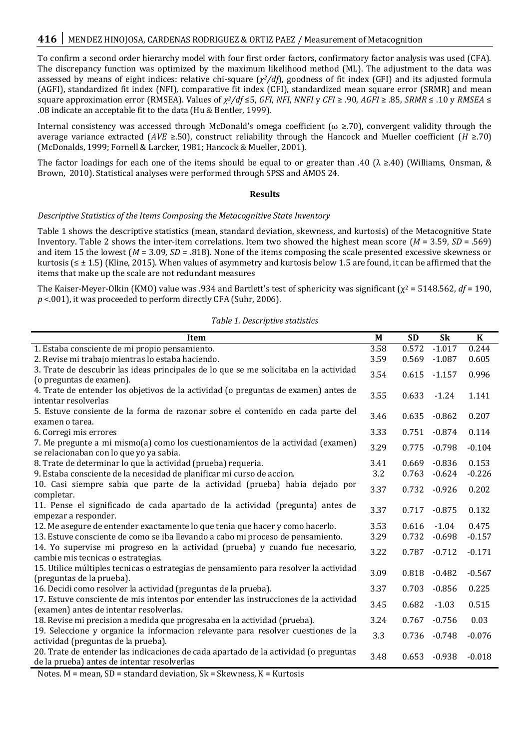To confirm a second order hierarchy model with four first order factors, confirmatory factor analysis was used (CFA). The discrepancy function was optimized by the maximum likelihood method (ML). The adjustment to the data was assessed by means of eight indices: relative chi-square (*χ <sup>2</sup>/df*), goodness of fit index (GFI) and its adjusted formula (AGFI), standardized fit index (NFI), comparative fit index (CFI), standardized mean square error (SRMR) and mean square approximation error (RMSEA). Values of *χ <sup>2</sup>/df* ≤5, *GFI*, *NFI*, *NNFI* y *CFI* ≥ .90, *AGFI* ≥ .85, *SRMR* ≤ .10 y *RMSEA* ≤ .08 indicate an acceptable fit to the data (Hu & Bentler, 1999).

Internal consistency was accessed through McDonald's omega coefficient ( $\omega \ge 70$ ), convergent validity through the average variance extracted (*AVE* ≥.50), construct reliability through the Hancock and Mueller coefficient (*H* ≥.70) (McDonalds, 1999; Fornell & Larcker, 1981; Hancock & Mueller, 2001).

The factor loadings for each one of the items should be equal to or greater than .40 ( $\lambda \ge 40$ ) (Williams, Onsman, & Brown, 2010). Statistical analyses were performed through SPSS and AMOS 24.

#### **Results**

#### *Descriptive Statistics of the Items Composing the Metacognitive State Inventory*

Table 1 shows the descriptive statistics (mean, standard deviation, skewness, and kurtosis) of the Metacognitive State Inventory. Table 2 shows the inter-item correlations. Item two showed the highest mean score (*M* = 3.59, *SD* = .569) and item 15 the lowest (*M* = 3.09, *SD* = .818). None of the items composing the scale presented excessive skewness or kurtosis ( $\leq \pm 1.5$ ) (Kline, 2015). When values of asymmetry and kurtosis below 1.5 are found, it can be affirmed that the items that make up the scale are not redundant measures

The Kaiser-Meyer-Olkin (KMO) value was .934 and Bartlett's test of sphericity was significant (χ<sup>2</sup> = 5148.562, *df* = 190, *p* <.001), it was proceeded to perform directly CFA (Suhr, 2006).

| 3.58<br>$-1.017$<br>0.244<br>0.572<br>1. Estaba consciente de mi propio pensamiento.<br>2. Revise mi trabajo mientras lo estaba haciendo.<br>3.59<br>0.569<br>$-1.087$<br>0.605<br>3. Trate de descubrir las ideas principales de lo que se me solicitaba en la actividad<br>0.996<br>3.54<br>0.615<br>$-1.157$<br>(o preguntas de examen). |  |
|---------------------------------------------------------------------------------------------------------------------------------------------------------------------------------------------------------------------------------------------------------------------------------------------------------------------------------------------|--|
|                                                                                                                                                                                                                                                                                                                                             |  |
|                                                                                                                                                                                                                                                                                                                                             |  |
|                                                                                                                                                                                                                                                                                                                                             |  |
|                                                                                                                                                                                                                                                                                                                                             |  |
| 4. Trate de entender los objetivos de la actividad (o preguntas de examen) antes de<br>3.55<br>1.141<br>0.633<br>$-1.24$<br>intentar resolverlas                                                                                                                                                                                            |  |
| 5. Estuve consiente de la forma de razonar sobre el contenido en cada parte del                                                                                                                                                                                                                                                             |  |
| 0.207<br>3.46<br>0.635<br>$-0.862$<br>examen o tarea.                                                                                                                                                                                                                                                                                       |  |
| 0.114<br>3.33<br>$-0.874$<br>0.751<br>6. Corregi mis errores                                                                                                                                                                                                                                                                                |  |
| 7. Me pregunte a mi mismo(a) como los cuestionamientos de la actividad (examen)<br>3.29<br>$-0.104$<br>$-0.798$<br>0.775                                                                                                                                                                                                                    |  |
| se relacionaban con lo que yo ya sabia.                                                                                                                                                                                                                                                                                                     |  |
| 0.153<br>$-0.836$<br>8. Trate de determinar lo que la actividad (prueba) requeria.<br>3.41<br>0.669                                                                                                                                                                                                                                         |  |
| $-0.226$<br>9. Estaba consciente de la necesidad de planificar mi curso de accion.<br>3.2<br>0.763<br>$-0.624$                                                                                                                                                                                                                              |  |
| 10. Casi siempre sabia que parte de la actividad (prueba) habia dejado por<br>3.37<br>0.202<br>0.732<br>$-0.926$<br>completar.                                                                                                                                                                                                              |  |
| 11. Pense el significado de cada apartado de la actividad (pregunta) antes de<br>3.37<br>0.132<br>0.717<br>$-0.875$                                                                                                                                                                                                                         |  |
| empezar a responder.                                                                                                                                                                                                                                                                                                                        |  |
| $-1.04$<br>0.475<br>3.53<br>0.616<br>12. Me asegure de entender exactamente lo que tenia que hacer y como hacerlo.                                                                                                                                                                                                                          |  |
| 13. Estuve consciente de como se iba llevando a cabo mi proceso de pensamiento.<br>3.29<br>$-0.157$<br>0.732<br>$-0.698$                                                                                                                                                                                                                    |  |
| 14. Yo supervise mi progreso en la actividad (prueba) y cuando fue necesario,<br>$-0.171$<br>3.22<br>0.787<br>$-0.712$                                                                                                                                                                                                                      |  |
| cambie mis tecnicas o estrategias.                                                                                                                                                                                                                                                                                                          |  |
| 15. Utilice múltiples tecnicas o estrategias de pensamiento para resolver la actividad<br>3.09<br>$-0.567$<br>0.818<br>$-0.482$                                                                                                                                                                                                             |  |
| (preguntas de la prueba).                                                                                                                                                                                                                                                                                                                   |  |
| 3.37<br>$-0.856$<br>0.225<br>16. Decidi como resolver la actividad (preguntas de la prueba).<br>0.703                                                                                                                                                                                                                                       |  |
| 17. Estuve consciente de mis intentos por entender las instrucciones de la actividad<br>0.515<br>3.45<br>0.682<br>$-1.03$                                                                                                                                                                                                                   |  |
| (examen) antes de intentar resolverlas.<br>3.24<br>0.03                                                                                                                                                                                                                                                                                     |  |
| 18. Revise mi precision a medida que progresaba en la actividad (prueba).<br>0.767<br>$-0.756$                                                                                                                                                                                                                                              |  |
| 19. Seleccione y organice la informacion relevante para resolver cuestiones de la<br>3.3<br>$-0.076$<br>$-0.748$<br>0.736<br>actividad (preguntas de la prueba).                                                                                                                                                                            |  |
| 20. Trate de entender las indicaciones de cada apartado de la actividad (o preguntas                                                                                                                                                                                                                                                        |  |
| 3.48<br>0.653<br>$-0.018$<br>$-0.938$<br>de la prueba) antes de intentar resolverlas                                                                                                                                                                                                                                                        |  |

*Table 1. Descriptive statistics*

Notes.  $M$  = mean, SD = standard deviation, S $k$  = Skewness,  $K$  = Kurtosis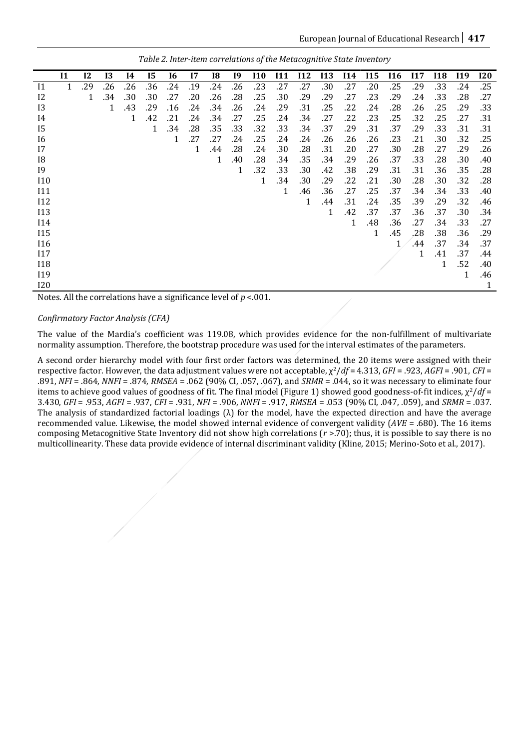|            | 11 | 12  | 13  | <b>I4</b> | 15  | <b>I6</b> | 17  | 18  | 19  | I10 | <b>I11</b> | <b>I12</b> | <b>I13</b> | <b>I14</b> | <b>I15</b> | <b>I16</b> | I17 | <b>I18</b> | I19 | <b>I20</b>   |
|------------|----|-----|-----|-----------|-----|-----------|-----|-----|-----|-----|------------|------------|------------|------------|------------|------------|-----|------------|-----|--------------|
| $_{11}$    | 1  | .29 | .26 | .26       | .36 | .24       | .19 | .24 | .26 | .23 | .27        | .27        | .30        | .27        | .20        | .25        | .29 | .33        | .24 | .25          |
| 12         |    | 1   | .34 | .30       | .30 | .27       | .20 | .26 | .28 | .25 | .30        | .29        | .29        | .27        | .23        | .29        | .24 | .33        | .28 | .27          |
| 13         |    |     | 1   | .43       | .29 | .16       | .24 | .34 | .26 | .24 | .29        | .31        | .25        | .22        | .24        | .28        | .26 | .25        | .29 | .33          |
| 14         |    |     |     | 1         | .42 | .21       | .24 | .34 | .27 | .25 | .24        | .34        | .27        | .22        | .23        | .25        | .32 | .25        | .27 | .31          |
| 15         |    |     |     |           | 1   | .34       | .28 | .35 | .33 | .32 | .33        | .34        | .37        | .29        | .31        | .37        | .29 | .33        | .31 | .31          |
| 16         |    |     |     |           |     | 1         | .27 | .27 | .24 | .25 | .24        | .24        | .26        | .26        | .26        | .23        | .21 | .30        | .32 | .25          |
| 17         |    |     |     |           |     |           | 1   | .44 | .28 | .24 | .30        | .28        | .31        | .20        | .27        | .30        | .28 | .27        | .29 | .26          |
| 18         |    |     |     |           |     |           |     | 1   | .40 | .28 | .34        | .35        | .34        | .29        | .26        | .37        | .33 | .28        | .30 | .40          |
| <b>19</b>  |    |     |     |           |     |           |     |     | 1   | .32 | .33        | .30        | .42        | .38        | .29        | .31        | .31 | .36        | .35 | .28          |
| 110        |    |     |     |           |     |           |     |     |     | 1   | .34        | .30        | .29        | .22        | .21        | .30        | .28 | .30        | .32 | .28          |
| I11        |    |     |     |           |     |           |     |     |     |     | 1          | .46        | .36        | .27        | .25        | .37        | .34 | .34        | .33 | .40          |
| I12        |    |     |     |           |     |           |     |     |     |     |            | 1          | .44        | .31        | .24        | .35        | .39 | .29        | .32 | .46          |
| <b>I13</b> |    |     |     |           |     |           |     |     |     |     |            |            | 1          | .42        | .37        | .37        | .36 | .37        | .30 | .34          |
| <b>I14</b> |    |     |     |           |     |           |     |     |     |     |            |            |            | 1          | .48        | .36        | .27 | .34        | .33 | .27          |
| <b>I15</b> |    |     |     |           |     |           |     |     |     |     |            |            |            |            | 1          | .45        | .28 | .38        | .36 | .29          |
| <b>I16</b> |    |     |     |           |     |           |     |     |     |     |            |            |            |            |            | 1          | .44 | .37        | .34 | .37          |
| 117        |    |     |     |           |     |           |     |     |     |     |            |            |            |            |            |            | 1   | .41        | .37 | .44          |
| <b>I18</b> |    |     |     |           |     |           |     |     |     |     |            |            |            |            |            |            |     | 1          | .52 | .40          |
| <b>I19</b> |    |     |     |           |     |           |     |     |     |     |            |            |            |            |            |            |     |            | 1   | .46          |
| <b>I20</b> |    |     |     |           |     |           |     |     |     |     |            |            |            |            |            |            |     |            |     | $\mathbf{1}$ |

*Table 2. Inter-item correlations of the Metacognitive State Inventory*

Notes. All the correlations have a significance level of *p* <.001.

## *Confirmatory Factor Analysis (CFA)*

The value of the Mardia's coefficient was 119.08, which provides evidence for the non-fulfillment of multivariate normality assumption. Therefore, the bootstrap procedure was used for the interval estimates of the parameters.

A second order hierarchy model with four first order factors was determined, the 20 items were assigned with their respective factor. However, the data adjustment values were not acceptable, χ2/*df* = 4.313, *GFI* = .923, *AGFI* = .901, *CFI* = .891, *NFI* = .864, *NNFI* = .874, *RMSEA* = .062 (90% CI, .057, .067), and *SRMR* = .044, so it was necessary to eliminate four items to achieve good values of goodness of fit. The final model (Figure 1) showed good goodness-of-fit indices,  $χ²/df =$ 3.430, *GFI* = .953, *AGFI* = .937, *CFI* = .931, *NFI* = .906, *NNFI* = .917, *RMSEA* = .053 (90% CI, .047, .059), and *SRMR* = .037. The analysis of standardized factorial loadings  $(\lambda)$  for the model, have the expected direction and have the average recommended value. Likewise, the model showed internal evidence of convergent validity (*AVE* = .680). The 16 items composing Metacognitive State Inventory did not show high correlations (*r* >.70); thus, it is possible to say there is no multicollinearity. These data provide evidence of internal discriminant validity (Kline, 2015; Merino-Soto et al., 2017).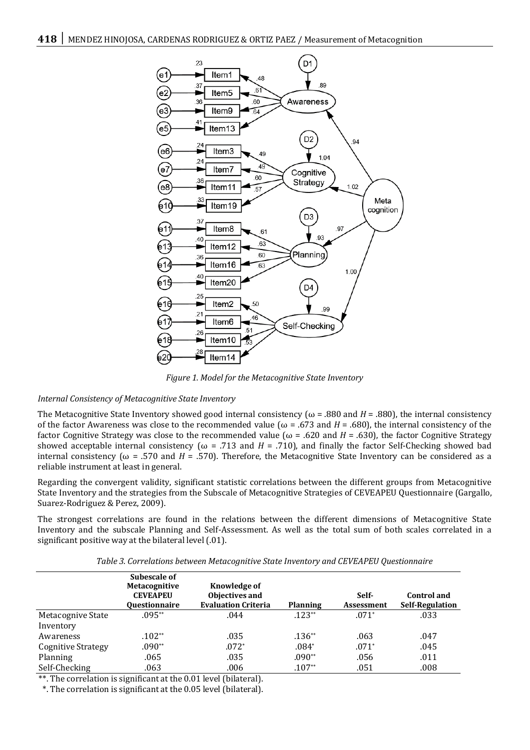

*Figure 1. Model for the Metacognitive State Inventory*

# *Internal Consistency of Metacognitive State Inventory*

The Metacognitive State Inventory showed good internal consistency ( $\omega$  = .880 and *H* = .880), the internal consistency of the factor Awareness was close to the recommended value ( $\omega$  = .673 and *H* = .680), the internal consistency of the factor Cognitive Strategy was close to the recommended value ( $\omega$  = .620 and *H* = .630), the factor Cognitive Strategy showed acceptable internal consistency ( $\omega$  = .713 and *H* = .710), and finally the factor Self-Checking showed bad internal consistency ( $ω = .570$  and  $H = .570$ ). Therefore, the Metacognitive State Inventory can be considered as a reliable instrument at least in general.

Regarding the convergent validity, significant statistic correlations between the different groups from Metacognitive State Inventory and the strategies from the Subscale of Metacognitive Strategies of CEVEAPEU Questionnaire (Gargallo, Suarez-Rodriguez & Perez, 2009).

The strongest correlations are found in the relations between the different dimensions of Metacognitive State Inventory and the subscale Planning and Self-Assessment. As well as the total sum of both scales correlated in a significant positive way at the bilateral level (.01).

| Table 3. Correlations between Metacognitive State Inventory and CEVEAPEU Questionnaire |  |  |
|----------------------------------------------------------------------------------------|--|--|
|                                                                                        |  |  |

|                           | Subescale of<br><b>Metacognitive</b><br><b>CEVEAPEU</b><br><b>Ouestionnaire</b> | Knowledge of<br>Objectives and<br><b>Evaluation Criteria</b> | <b>Planning</b> | Self-<br><b>Assessment</b> | <b>Control</b> and<br><b>Self-Regulation</b> |
|---------------------------|---------------------------------------------------------------------------------|--------------------------------------------------------------|-----------------|----------------------------|----------------------------------------------|
| Metacognive State         | $.095**$                                                                        | .044                                                         | $.123**$        | $.071*$                    | .033                                         |
| Inventory                 |                                                                                 |                                                              |                 |                            |                                              |
| Awareness                 | $.102**$                                                                        | .035                                                         | $.136**$        | .063                       | .047                                         |
| <b>Cognitive Strategy</b> | .090**                                                                          | $.072*$                                                      | $.084*$         | $.071*$                    | .045                                         |
| Planning                  | .065                                                                            | .035                                                         | $.090**$        | .056                       | .011                                         |
| Self-Checking             | .063                                                                            | .006                                                         | $.107**$        | .051                       | .008                                         |

\*\*. The correlation is significant at the 0.01 level (bilateral).

\*. The correlation is significant at the 0.05 level (bilateral).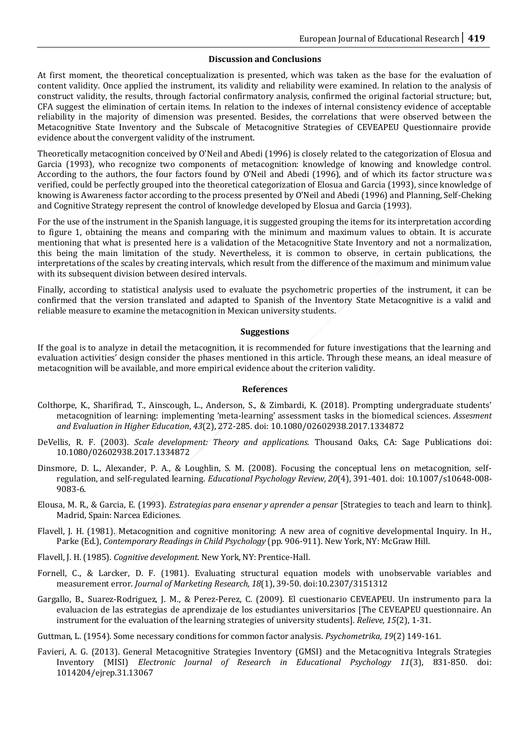#### **Discussion and Conclusions**

At first moment, the theoretical conceptualization is presented, which was taken as the base for the evaluation of content validity. Once applied the instrument, its validity and reliability were examined. In relation to the analysis of construct validity, the results, through factorial confirmatory analysis, confirmed the original factorial structure; but, CFA suggest the elimination of certain items. In relation to the indexes of internal consistency evidence of acceptable reliability in the majority of dimension was presented. Besides, the correlations that were observed between the Metacognitive State Inventory and the Subscale of Metacognitive Strategies of CEVEAPEU Questionnaire provide evidence about the convergent validity of the instrument.

Theoretically metacognition conceived by O'Neil and Abedi (1996) is closely related to the categorization of Elosua and Garcia (1993), who recognize two components of metacognition: knowledge of knowing and knowledge control. According to the authors, the four factors found by O'Neil and Abedi (1996), and of which its factor structure was verified, could be perfectly grouped into the theoretical categorization of Elosua and Garcia (1993), since knowledge of knowing is Awareness factor according to the process presented by O'Neil and Abedi (1996) and Planning, Self-Cheking and Cognitive Strategy represent the control of knowledge developed by Elosua and Garcia (1993).

For the use of the instrument in the Spanish language, it is suggested grouping the items for its interpretation according to figure 1, obtaining the means and comparing with the minimum and maximum values to obtain. It is accurate mentioning that what is presented here is a validation of the Metacognitive State Inventory and not a normalization, this being the main limitation of the study. Nevertheless, it is common to observe, in certain publications, the interpretations of the scales by creating intervals, which result from the difference of the maximum and minimum value with its subsequent division between desired intervals.

Finally, according to statistical analysis used to evaluate the psychometric properties of the instrument, it can be confirmed that the version translated and adapted to Spanish of the Inventory State Metacognitive is a valid and reliable measure to examine the metacognition in Mexican university students.

#### **Suggestions**

If the goal is to analyze in detail the metacognition, it is recommended for future investigations that the learning and evaluation activities' design consider the phases mentioned in this article. Through these means, an ideal measure of metacognition will be available, and more empirical evidence about the criterion validity.

#### **References**

- Colthorpe, K., Sharifirad, T., Ainscough, L., Anderson, S., & Zimbardi, K. (2018). Prompting undergraduate students' metacognition of learning: implementing 'meta-learning' assessment tasks in the biomedical sciences. *Assesment and Evaluation in Higher Education*, *43*(2), 272-285. doi: 10.1080/02602938.2017.1334872
- DeVellis, R. F. (2003). *Scale development: Theory and applications*. Thousand Oaks, CA: Sage Publications doi: 10.1080/02602938.2017.1334872
- Dinsmore, D. L., Alexander, P. A., & Loughlin, S. M. (2008). Focusing the conceptual lens on metacognition, selfregulation, and self-regulated learning. *Educational Psychology Review, 20*(4), 391-401. doi: 10.1007/s10648-008- 9083-6.
- Elousa, M. R., & Garcia, E. (1993). *Estrategias para ensenar y aprender a pensar* [Strategies to teach and learn to think]*.* Madrid, Spain: Narcea Ediciones.
- Flavell, J. H. (1981). Metacognition and cognitive monitoring: A new area of cognitive developmental Inquiry. In H., Parke (Ed.), *Contemporary Readings in Child Psychology* (pp. 906-911). New York, NY: McGraw Hill.
- Flavell, J. H. (1985). *Cognitive development*. New York, NY: Prentice-Hall.
- Fornell, C., & Larcker, D. F. (1981). Evaluating structural equation models with unobservable variables and measurement error. *Journal of Marketing Research, 18*(1), 39-50. doi:10.2307/3151312
- Gargallo, B., Suarez-Rodriguez, J. M., & Perez-Perez, C. (2009). El cuestionario CEVEAPEU. Un instrumento para la evaluacion de las estrategias de aprendizaje de los estudiantes universitarios [The CEVEAPEU questionnaire. An instrument for the evaluation of the learning strategies of university students]. *Relieve, 15*(2), 1-31.
- Guttman, L. (1954). Some necessary conditions for common factor analysis. *Psychometrika, 19*(2) 149-161.
- Favieri, A. G. (2013). General Metacognitive Strategies Inventory (GMSI) and the Metacognitiva Integrals Strategies Inventory (MISI) *Electronic Journal of Research in Educational Psychology 11*(3), 831-850. doi: 1014204/ejrep.31.13067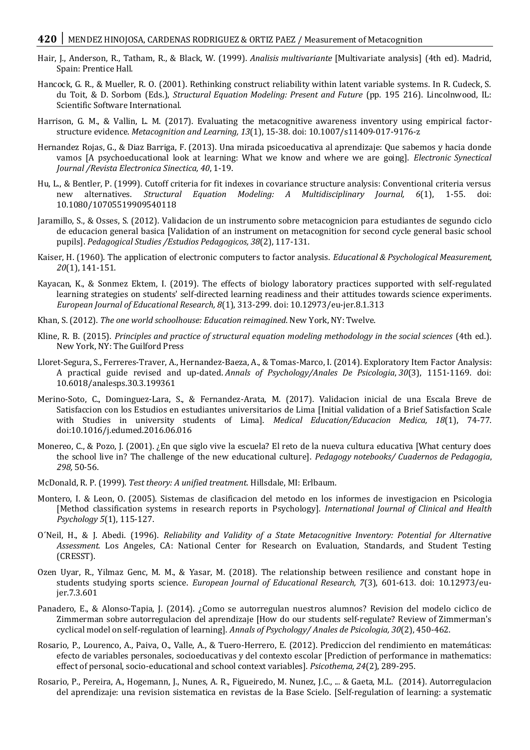# **420** | MENDEZ HINOJOSA, CARDENAS RODRIGUEZ & ORTIZ PAEZ / Measurement of Metacognition

- Hair, J., Anderson, R., Tatham, R., & Black, W. (1999). *Analisis multivariante* [Multivariate analysis] (4th ed). Madrid, Spain: Prentice Hall.
- Hancock, G. R., & Mueller, R. O. (2001). Rethinking construct reliability within latent variable systems. In R. Cudeck, S. du Toit, & D. Sorbom (Eds.), *Structural Equation Modeling: Present and Future* (pp. 195 216). Lincolnwood, IL: Scientific Software International.
- Harrison, G. M., & Vallin, L. M. (2017). Evaluating the metacognitive awareness inventory using empirical factorstructure evidence. *Metacognition and Learning, 13*(1), 15-38. doi: 10.1007/s11409-017-9176-z
- Hernandez Rojas, G., & Diaz Barriga, F. (2013). Una mirada psicoeducativa al aprendizaje: Que sabemos y hacia donde vamos [A psychoeducational look at learning: What we know and where we are going]. *Electronic Synectical Journal /Revista Electronica Sinectica, 40*, 1-19.
- Hu, L., & Bentler, P. (1999). Cutoff criteria for fit indexes in covariance structure analysis: Conventional criteria versus new alternatives. *Structural Equation Modeling: A Multidisciplinary Journal, 6*(1), 1-55. doi: 10.1080/10705519909540118
- Jaramillo, S., & Osses, S. (2012). Validacion de un instrumento sobre metacognicion para estudiantes de segundo ciclo de educacion general basica [Validation of an instrument on metacognition for second cycle general basic school pupils]. *Pedagogical Studies /Estudios Pedagogicos, 38*(2), 117-131.
- Kaiser, H. (1960). The application of electronic computers to factor analysis. *Educational & Psychological Measurement, 20*(1), 141-151.
- Kayacan, K., & Sonmez Ektem, I. (2019). The effects of biology laboratory practices supported with self-regulated learning strategies on students' self-directed learning readiness and their attitudes towards science experiments. *European Journal of Educational Research, 8*(1), 313-299. doi: 10.12973/eu-jer.8.1.313
- Khan, S. (2012). *The one world schoolhouse: Education reimagined*. New York, NY: Twelve.
- Kline, R. B. (2015). *Principles and practice of structural equation modeling methodology in the social sciences* (4th ed.). New York, NY: The Guilford Press
- Lloret-Segura, S., Ferreres-Traver, A., Hernandez-Baeza, A., & Tomas-Marco, I. (2014). Exploratory Item Factor Analysis: A practical guide revised and up-dated. *Annals of Psychology/Anales De Psicologia*, *30*(3), 1151-1169. doi: 10.6018/analesps.30.3.199361
- Merino-Soto, C., Dominguez-Lara, S., & Fernandez-Arata, M. (2017). Validacion inicial de una Escala Breve de Satisfaccion con los Estudios en estudiantes universitarios de Lima [Initial validation of a Brief Satisfaction Scale with Studies in university students of Lima]. *Medical Education/Educacion Medica, 18*(1), 74-77. doi:10.1016/j.edumed.2016.06.016
- Monereo, C., & Pozo, J. (2001). ¿En que siglo vive la escuela? El reto de la nueva cultura educativa [What century does the school live in? The challenge of the new educational culture]. *Pedagogy notebooks/ Cuadernos de Pedagogia*, *298,* 50-56.
- McDonald, R. P. (1999). *Test theory: A unified treatment*. Hillsdale, MI: Erlbaum.
- Montero, I. & Leon, O. (2005). Sistemas de clasificacion del metodo en los informes de investigacion en Psicologia [Method classification systems in research reports in Psychology]. *International Journal of Clinical and Health Psychology 5*(1), 115-127.
- O´Neil, H., & J. Abedi. (1996). *Reliability and Validity of a State Metacognitive Inventory: Potential for Alternative Assessment.* Los Angeles, CA: National Center for Research on Evaluation, Standards, and Student Testing (CRESST).
- Ozen Uyar, R., Yilmaz Genc, M. M., & Yasar, M. (2018). The relationship between resilience and constant hope in students studying sports science. *European Journal of Educational Research, 7*(3), 601-613. doi: 10.12973/eujer.7.3.601
- Panadero, E., & Alonso-Tapia, J. (2014). ¿Como se autorregulan nuestros alumnos? Revision del modelo ciclico de Zimmerman sobre autorregulacion del aprendizaje [How do our students self-regulate? Review of Zimmerman's cyclical model on self-regulation of learning]. *Annals of Psychology/ Anales de Psicologia, 30*(2), 450-462.
- Rosario, P., Lourenco, A., Paiva, O., Valle, A., & Tuero-Herrero, E. (2012). Prediccion del rendimiento en matemáticas: efecto de variables personales, socioeducativas y del contexto escolar [Prediction of performance in mathematics: effect of personal, socio-educational and school context variables]. *Psicothema, 24*(2), 289-295.
- Rosario, P., Pereira, A., Hogemann, J., Nunes, A. R., Figueiredo, M. Nunez, J.C., ... & Gaeta, M.L. (2014). Autorregulacion del aprendizaje: una revision sistematica en revistas de la Base Scielo. [Self-regulation of learning: a systematic